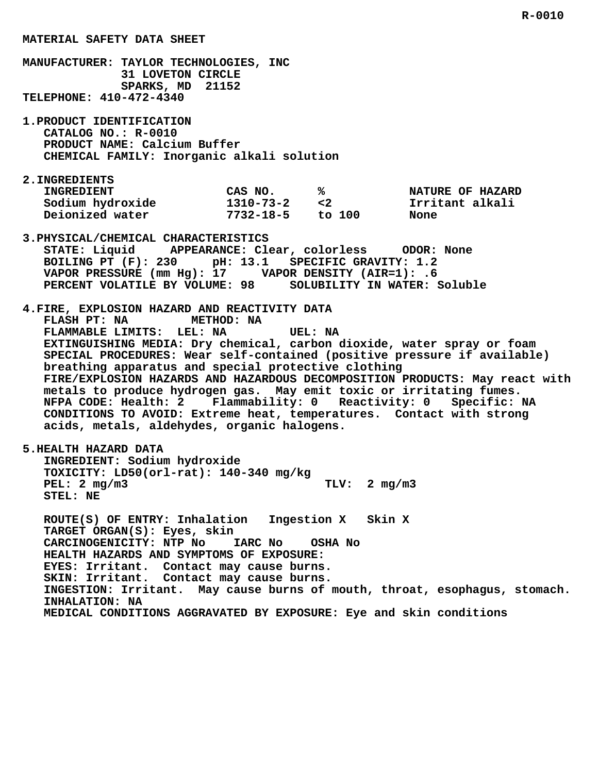**MANUFACTURER: TAYLOR TECHNOLOGIES, INC 31 LOVETON CIRCLE SPARKS, MD 21152 TELEPHONE: 410-472-4340**

 **1.PRODUCT IDENTIFICATION CATALOG NO.: R-0010 PRODUCT NAME: Calcium Buffer CHEMICAL FAMILY: Inorganic alkali solution**

 **2.INGREDIENTS**

| <b>INGREDIENT</b> | CAS NO.         |          | <b>NATURE OF HAZARD</b> |
|-------------------|-----------------|----------|-------------------------|
| Sodium hydroxide  | $1310 - 73 - 2$ | $\leq$ 2 | Irritant alkali         |
| Deionized water   | $7732 - 18 - 5$ | to 100   | None                    |

- **3.PHYSICAL/CHEMICAL CHARACTERISTICS STATE: Liquid APPEARANCE: Clear, colorless ODOR: None BOILING PT (F): 230 pH: 13.1 SPECIFIC GRAVITY: 1.2 VAPOR PRESSURE (mm Hg): 17 VAPOR DENSITY (AIR=1): .6 PERCENT VOLATILE BY VOLUME: 98 SOLUBILITY IN WATER: Soluble**
- **4.FIRE, EXPLOSION HAZARD AND REACTIVITY DATA FLASH PT: NA METHOD: NA FLAMMABLE LIMITS: LEL: NA UEL: NA EXTINGUISHING MEDIA: Dry chemical, carbon dioxide, water spray or foam SPECIAL PROCEDURES: Wear self-contained (positive pressure if available) breathing apparatus and special protective clothing FIRE/EXPLOSION HAZARDS AND HAZARDOUS DECOMPOSITION PRODUCTS: May react with metals to produce hydrogen gas. May emit toxic or irritating fumes. NFPA CODE: Health: 2 Flammability: 0 Reactivity: 0 Specific: NA CONDITIONS TO AVOID: Extreme heat, temperatures. Contact with strong acids, metals, aldehydes, organic halogens.**
- **5.HEALTH HAZARD DATA INGREDIENT: Sodium hydroxide TOXICITY: LD50(orl-rat): 140-340 mg/kg PEL: 2 mg/m3** TLV: 2 mg/m3  **STEL: NE**

 **ROUTE(S) OF ENTRY: Inhalation Ingestion X Skin X TARGET ORGAN(S): Eyes, skin CARCINOGENICITY: NTP No IARC No OSHA No HEALTH HAZARDS AND SYMPTOMS OF EXPOSURE: EYES: Irritant. Contact may cause burns. SKIN: Irritant. Contact may cause burns. INGESTION: Irritant. May cause burns of mouth, throat, esophagus, stomach. INHALATION: NA MEDICAL CONDITIONS AGGRAVATED BY EXPOSURE: Eye and skin conditions**